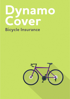# ynamo Cover **Bicycle Insurance**

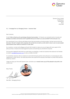

Dynamo Cover Limited Cardiff House Cardiff Road Barry CF63 2AW

# R.E. - A message from our Managing Director – Important Read

Dear Customer,

Firstly I'd like to thank you for purchasing a Dynamo Cover product – At Dynamo, we constantly look to innovate and develop our products and services and I'm grateful that you've chosen us as your provider for the next year or so,

Our commitment to you is that we will always ensure that we provide you the best product, the best service and at the best price. We don't compete with companies who we feel do not match our ethic which is why in such an overcrowded space Dynamo Cover stands as a brand on it's own merit.

As a customer, my team and colleagues will work their hardest to make sure you are happy with every aspect of this policy purchase, renewal and answering general queries and actioning any amendments required.

If at any point reading this document you need clarity on something, or need out assistance then please do not hesitate to email us sales@dynamocover.com or call us on 0330 22 32 897.

It is sometimes necessary with our products to work with third-party partners who will assist us in processing any claim, replacement or other service. Your policy documents will include all the necessary information to contact these partners should you need to.

I hope you enjoy your time with Dynamo Cover, and when your renewal comes up you'll be pleased to stay with us for another year.

Many Thanks



Alex Mills – Managing Director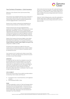

# Your Contract of Insurance – Cycle Insurance

Welcome to Your Dynamo Cover Cycle Insurance Policy Document.

This insurance was arranged by Dynamo Cover Limited who is also the policy administrator and is underwritten by Novus Underwriting Limited on behalf of Helvetia Schweizerische Versicherungsgesellschaft in Liechtenstein AG.

Dynamo Cover Limited is authorised and regulated by the Financial Conduct Authority, Firm Reference No. 781314

Helvetia Schweizerische Versicherungsgesellschaft in Liechtenstein AG. Registered Office: Aeulestrasse 60 (2. Stock) 9490 Vaduz, Liechtenstein. The Insurer is authorised and regulated by the Liechtenstein Financial Market Authority and is deemed authorised by the Prudential Regulation Authority and subject to regulation by the Financial Conduct Authority and limited regulation by the Prudential Regulation Authority.

Details of the Temporary Permissions Regime, which allows EEA-based firms to operate in the UK for a limited period while seeking full authorisation, are available on the Financial Conduct Authority's website. https://register.fca.org.uk/ or by calling them on 0800 111 6768.

As Dynamo Cover Limited acts as agent for the Insurer, monies paid to (or held by) Dynamo Cover Limited in relation to the insurance contract are treated as having been paid to (or held by) the Insurer.

Your insurance is for 12 months and is shown on your Policy Schedule. Your policy start date and your period of insurance are shown on your Policy Schedule.

## IMPORTANT

It is important that You check Your schedule to ensure that the information that You have provided to Us is accurate. Please take the time to read the contents of this policy to ensure that You understand the cover We are providing You and that You comply with Our terms and conditions. This policy wording and Your Policy Schedule are important documents; please keep them in a safe place in case You need to refer to them for any reason.

#### CYCLE ELIGIBILITY

We can only ensure cycles if You are able to provide evidence of ownership, frame number and if they are:

- 1) Purchased as new or second-hand from a VAT registered company.
- 2) Not exceeding £10,000 in Value

#### Excess

The Excess applicable to claims for Theft and Damage shall be 5% of the amount being claimed with a minimum Excess of £50 (Maximum Excess payable £350). or 7.5% of the amount being claimed with a minimum Excess of £100 (Maximum Excess payable £500). Depending on the level selected and showing on Your Policy Schedule.

Claims where the bicycle has been left unattended between the hours of 1:00am and 4:00am in a location where there is public access, or whilst left in a vehicle, will be subject to an Excess of 20% of the amount being claimed with a minimum Excess of £100.

Claims for Theft of folding bicycles, when left unattended in a location where there is public access will be subject to an Excess of 20% of the amount being claimed with a minimum Excess of £100.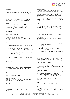

# Definitions

The words or expressions detailed below have the following meaning whenever they appear in this policy in capital and Bold.

## Abandoned/Abandonment.

Left at a location other than the Insured Location for more than 12 hours or 24 hours in respect of train stations.

## **Accessories**

Any equipment added and fixed to the Cycle in addition to the manufacturer's original specifications, including trailers and passenger carrying trailers, as specified on Your Policy Schedule and not otherwise specifically excluded.

## Administrator

Dynamo Cover Limited, Cardiff House, Cardiff Road, Barry, CF63 2AW, Tel: 0330 22 32 987

## Accident/Accidental/Accidental Damage

A sudden and unexpected event which happens by chance during the Period of Insurance.

# Approved Lock

- 1) A nominated lock which is specified in the 'Sold Secure' list (www.soldsecure.com) of Cycle locks which is appropriate to the insured Value of the Cycle:
	- Insured Value under £1,000 require a Bronze rated lock.
	- Insured Value between £1,001 £1,500 require a Silver rated lock.
	- Insured Value over £1,501 require a Gold rated lock; or
- 2) Any other specified lock accepted by Us and specified in an endorsement.

## Bodily Injury

Death or identifiable physical injury.

## Business Purposes

Use of the Cycle for trade or commercial purposes (except commuting to and from work), hire, reward or courier services.

## Cash Settlement

Settlement of the claim by the Claims Administrator by means of store credit, gift card or cash.

## Claims Administrator

MB&G Insurance Services Limited, Cobalt Business Centre, Cobalt Park Way, Newcastle, NE20 9NZ

## Competition

An organised contest from which a winner is selected.

## Commencement Date

The date Your cover shall start as shown on Your Policy Schedule.

## Cycling Accessories

Cycling specific helmets, hats or caps, shoes, overshoes, jerseys or vests, base layers, gilets, gloves, glasses & goggles, jackets, shorts, bib shorts, bibs, bib-longs, tights, trousers, socks, warmers, compression clothing, backpacks, water bottles and cages, hydration packs, cameras specifically designed for cycling and mounted to a helmet, frame or handlebars; cycling computer; cycling GPS unit, lights, Cycle luggage, panniers, saddle bag, cycling tools, cycling armour & guards.

## Cycle/Cycles

Any bicycle, adult tricycle or a tandem as specified in Your Policy Schedule, including those with an electric battery not exceeding 250w and 15.5mph, and including component parts, upgrades and Accessories permanently fixed to the Cycle.

## Damage

Caused by violent and external means including vandalism.

## Depreciation

An amount to be deducted from the Insured Value for any Cycle more than 3 years of age as follows:

- For Cycles over 3 years of age and up to 5 years, depreciation shall be 30%.
- For Cycles over 5 years and up to 7 years, depreciation shall be 50%.
- For Cycles over 7 years and up to 10 years, depreciation shall be 60%.
- For Cycles over 10 years, depreciation shall be 70%
- We will not make any payment for any Accessories more than seven years old.

Where You have purchased Your Cycle as second hand from a VAT registered Retailer/Cycle specialist, Your Cycles age, will be set at zero years old from the date on Your purchase invoice, with the above depreciation table, starting after 3 years of ownership of the Cycle.

We shall establish the age of Your Cycle by reference to its Frame or if purchased second hand, by using the date on the purchase invoice.

# Evidence of Ownership

The original purchase receipt or other evidence which clearly demonstrates ownership, this may include but is not to bank/credit card statement, dealer valuation including a photograph of the Cycle showing the date, price paid, details of the Cycle and/or Approved Lock, name and address of seller, or other evidence which clearly demonstrates ownership.

## Excess

As selected and showing on Your Policy Schedule

## Family

Parents, spouse, partner, son, daughter or siblings (aged 16 years or over), permanently residing with You at the Insured Location.

Dynamo Cover Limited is Authorised and Regulated by the Financial Conduct Authority (Reg Number: 781314). Dynamo Cover Limited is registered company in England & Wales (Reg Number: 08761022) and it's registered office is Dynamo Cover, Cardiff House, Cardiff Rd, Barry, CF63 2AW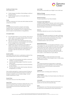

## Forcible and Violent Entry

Entry evidenced by

- a) Visible Damage to the fabric of the building or vehicle at the point of entry
- b) Visible Damage caused to an Immovable Object or Approved Lock.

## Frame

The main components of a Cycle onto which wheels and other components are fitted.

## Hospital

An establishment licensed for caring for and treating inpatients who are sick and injured, but not one that is primarily a clinic, nursing home, rest or convalescent home, and not a place to treat alcoholism or drug addiction.

## Immovable Object:

- a) Any solid object fixed in or on to concrete, stone, brick or similar, which is not capable of being undone, removed with, or lifted under/over the Cycle.
- b) Roof rack of a motor vehicle attached securely in-line with the manufacturers recommendations and intended for the carriage of one or more Cycle(s).
- c) A designated Cycle rack located at a train station, bus station, coach station or Your permanent place of employment designed and constructed expressly for the purpose of securing Cycle(s) and is operated by You in accordance with the instructions and / or guidance provided.

## Insured Location

The location where the Cycle is usually kept as stated on Your Policy Schedule which must be one of the following:

- a) A house, flat, self-contained room within a communal residence, or communal hallway.
- b) A private outbuilding, garage or shed that is securely always locked.
- c) An underground car park that can only be accessed by private residents.
- d) Any other specific location which has been referred to and agreed by us in writing.

Cover shall be extended for a maximum period of 30 days at any one time during the Period of Insurance to include any temporary residence such as a holiday cottage / Insured Location, guesthouse or hotel.

## Insured Value

The amount set out on Your Policy Schedule.

#### Loss of Limb

The physical separation of a hand at or above the wrist, or of a foot at or above the ankle and shall include the total and irrecoverable loss of use of one or both hands, or feet respectively.

#### Loss of Sight

The total and irrecoverable Loss of Sight in one or both eyes.

## Malicious Damage

Intentional Damage caused by a third party.

## Period of Insurance

The period specified on Your Policy Schedule.

#### Permanent Total Disablement

A disability lasting at least 12 calendar months which entirely prevents You from attending to any business or occupation of any kind whatsoever and at the end of that period being beyond the hope of improvement.

#### Premium

The amount referred to as such on Your Policy Schedule.

#### Policy Schedule

The written confirmation provided by Your agent confirming Your details, the level of cover selected by You, details of the Cycle, Commencement Date and end date of Your policy. Please refer to Your Policy Schedule for what is included/excluded on each cover level)

## Replace/Replacement

The provision of an item of comparable specification as new is only available if You own the Cycle from new and it is less than 3 years old at time of claim. Where You have not purchased the Cycle from new and it is greater than 3 years old, any replacement will take into account the specification, age, functionality and quality of the Cycle at the time of claim, or at Our option, a Cash Settlement may be offered.

#### Territorial Limits

As a United Kingdom resident domiciled in the United Kingdom up to 30 days in the European Union, in total, during your period of insurance.

## Theft

The unauthorised dishonest appropriation or attempted appropriation of the Cycle specified on Your Policy Schedule by another person with the intention of permanently depriving You of it.

#### Unattended

Whilst the Cycle is not being used or held by You.

#### United Kingdom

England, Scotland, Wales, the Channel Islands, Isle of Man and Northern Ireland.

#### Unoccupied

Where You and Your Family are away from the Insured Location for more than 30 consecutive days.

#### Value

The replacement cost of the Cycle and any Accessories as at the date of loss as assessed by the Claims Administrator.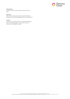

# Waiting Period

The first 14 days from the Commencement Date of Your policy.

# We/Us/Our:

Means Novus Underwriting Limited on behalf of Helvetia Schweizerische Versicherungsgesellschaft in Liechtenstein AG.

## You/Your

The person or persons named on Your Policy Schedule who lives in the United Kingdom on a permanent basis as a domiciled United Kingdom resident.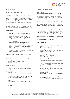

# Cover Sections

# Section - 1 Theft of Your Cycle

Within the Territorial Limits, We will Replace the Cycle with one of comparable specification as new provided that the Cycle was new when purchased by You, and the Cycle was not more than 3 years old at the date of loss, otherwise We will Replace the Cycle with a Cycle of similar specification, age, functionality, and quality to the Cycle at the time of claim.

We reserve the right to specify the use of a designated supplier for the replacement of the Cycle or at Our discretion offer Cash Settlement to the Value of the replacement Cycle.

## What is covered:

- 1) Theft of the Cycle where it has been locked to an Immovable Object by an Approved Lock that is appropriate to the insured Value of the Cycle.
- 2) Theft from the Insured Location when forcible and violent entry has been demonstrated and You have complied with the security requirement applicable to the Insured Location.
- 3) Theft of Your Cycle when away from the Insured Location providing You have complied with the security requirement applicable when the Cycle is away from the Insured Location (see Security Requirements section).
- 4) Theft whilst the Cycle is in or on a vehicle providing You have complied with the security requirement applicable when the Cycle is in or on a vehicle and access has been made by Forcible and Violent Entry.

In the event of the Theft of the Cycle, at Your own expense You must provide to the Administrator with:

- 1) A valid and substantiated crime reference number.
- 2) The key for the Approved Lock and a receipt demonstrating the make and model.
- 3) Evidence of ownership.

## What is not covered:

- 1) Any claim where a crime reference number cannot be provided.
- 2) Policy Excess.
- 3) Unexplained Theft.
- 4) Accessories or removable parts unless the Cycle is stolen at the same time.
- 5) Theft when entrusted loaned or hired out by You to any person other than a member of Your Family.
- 6) Theft of the Cycle whilst being used for Competition or racing.
- 7) Any Depreciation where the Cycle is more than 3 years of age.
- 8) Theft of the Cycle whilst being used for Business Purposes.

# Section - 2 Accidental Damage

## What is covered:

Within the Territorial Limits of the policy, We will pay the costs of repairing the Cycle as a result of suffering accidental Damage, Our liability shall be limited to returning the Cycle to the level of functionality as previously enjoyed immediately before the accidental Damage occurred.

We reserve the right to use specialist, refurbished or like for like parts in the repair of Your Cycle, where the estimated or quoted repair cost is in Excess of the Value of the Cycle We may at Our option make a Cash Settlement to cover the cost of repair.

Where it is deemed necessary by Us to Replace the Cycle, We will Replace the Cycle with a comparable specification as new provided that the Cycle was new when purchased by You, and the Cycle was not more than 3 years old at the date of loss.

Accidental Damage sustained while the Cycle is in transit with a recognised transport provider and providing the Cycle is securely packaged and a receipt obtained.

## What is not covered:

- 1) Accidental Damage within the Waiting Period of Your policy.
- 2) Wear and tear, gradually resulting in a reduction in operating performance.
- 3) Accidental Damage that does not impair the function and/or performance of the Cycle.
- 4) Policy Excess.
- 5) Corrosion, rust, fading of the paint finish or bright work, chemical action, or reaction.
- 6) Failure to follow the manufacturers' instructions or guidelines regarding the use of or maintenance of the Cycle.
- 7) Faulty or defective design, materials or workmanship or latent defect and defects in operation.
- 8) Tyres or inner tubes unless the Cycle suffers Accidental Damage at the same time.
- 9) Fixed Accessories or removable parts unless the Cycle suffers accidental Damage at the same time.
- 10) Accidental Damage whilst the Cycle is being used for competition or racing purposes.
- 11) Accidental Damage whilst the Cycle is being used for Business Purposes.
- 12) Any depreciation where the Cycle is more than 3 years of age.
- 13) Accidental Damage whilst the Cycle is being used for the performance of stunts.
- 14) More than 3 claims for Accidental Damage in any single Period of Insurance.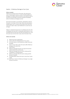

# Section - 3 Malicious Damage to Your Cycle

## What is covered:

Within the Territorial Limits of the policy, We will pay the costs of repairing the Cycle as a result of suffering Malicious Damage, Our liability shall be limited to returning the Cycle to the level of functionality as previous enjoyed immediately before the Malicious Damage occurred.

We reserve the right to use specialist, refurbished or like for like parts in the repair of Your Cycle. Where the estimated or quoted repair cost is in Excess of the Value of the Cycle, We may at Our option make a Cash Settlement to cover the cost of repair.

Where it is deemed necessary by Us to Replace the Cycle, We will Replace the Cycle with a comparable specification as new provided that the Cycle was new when purchased by You, and the Cycle was not more than 3 years old at the date of loss.

## What is not covered:

- 1) Where the Cycle is Abandoned.
- 2) Claims within the Waiting Period of Your policy.
- 3) Any claim where a crime reference number cannot be provided.
- 4) Tyres or inner tubes unless the Cycle suffers Malicious Damage at the same time.
- 5) Policy Excess.
- 6) Malicious Damage that does not impair the function and/or performance of the Cycle.
- 7) Malicious Damage whilst the Cycle is being used for competition or racing purposes.
- 8) Malicious Damage whilst the Cycle is being used for Business Purposes.
- 9) Any depreciation where the Cycle is more than 3 years of age.
- 10) More than 3 claims for Malicious Damage in any single Period of Insurance.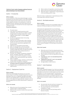

# Optional Cover Levels (If selected, additional Premiums paid and showing on Your Policy Schedule)

# Section - 4 Accessories

## What is covered:

You are covered for Theft and accidental Damage to cycling Accessories up to the amount shown in Your Policy Schedule. Theft of cycling Accessories whilst away from the insured location applies only when in Your possession or when the cycling Accessories, attached to the Cycle using a security fixing or mounting, are removed from the Cycle using forcible and violent means.

# You are not covered for: -

- 1) The policy Excess.
- 2) Cover when the cycling Accessories are left unattended, unless secured out of sight in a locked storage location including a locked room, locked cupboard, locked drawer, or locked luggage compartment.
- 3) Any item not specifically listed in the Cycling Accessories definition.
- 4) Theft from Your insured location unless involving forcible and violent entry and You have complied with the security requirements applicable to the Insured location.
- 5) Theft from an unoccupied Insured location.
- 6) When any damaged item cannot be provided.
- 7) Marring, scratching, denting, wear and tear or, any cosmetic change which does not impair the function and performance of the cycling Accessories or gradually operating causes.
- Corrosion, rust, change in temperature, dampness, dryness, shrinkage, evaporation, contamination, change in colour or finish, atmospheric or climatic conditions, frost, insect and vermin, dust, chemical action, or reaction.
- 9) Faulty or defective design, materials or workmanship or latent defect and defects in operation.
- 10) Failure to use or maintain the cycling Accessories in accordance with the manufacturer's instructions.
- 11) Using the Cycle as a professional cyclist, or for any trade/ business

# Section 5 - Replacement Cycle hire

## What is covered:

Within the United Kingdom We will pay up to up to the amount shown in Your Policy Schedule towards the hire of an alternative Cycle from a recognised reputable Cycle dealer whilst You are awaiting repair or replacement of Your Cycle when it is the subject of an approved claim. (Subject to cost of hire being agreed with the Claims Administrator in advance of the hire.)

## What is not covered:

- 1) Where the costs of hire are greater than a normal charge through a recognised supplier.
- 2) Where the hire costs are in Excess of the Cycle Value or repair costs.
- 3) Where evidence of expenditure cannot be provided.
- 4) Where costs are incurred by anyone other than You.
- 5) Where the repair or replacement is required because of the Cycle being used for racing.

Where the repair or replacement is required because of the Cycle being used for Business Purposes.

# Section 6 - Worldwide extension

## What is covered:

Cover is extended to 30 days per trip worldwide subject to a maximum of 90 days during any one Period of Insurance

In the event of an approved claim to an insured Cycle damaged during transit abroad, we will pay up to £300 for any damage caused to a purpose-built Cycle box that the Cycle was being transported in at the time of the claim incident. The damage must have been caused whilst in transit with your transit provider. In the event of an approved claim to an insured Cycle (where the claim incident occurred outside of the United Kingdom), we will pay for Cycle hire costs incurred by you or a member of Your family when hiring the same type of insured Cycle) that has been claimed for. Cycle must be hired from a recognised, reputable bicycle retailer abroad; and the maximum payable is £150 during any one period of insurance.

## What is Not Covered:

- 1) Where the costs of Cycle hire abroad exceed more than £150 during any one period of insurance or they are more than the bicycle value or repair costs.
- 2) Where evidence of Cycle hire expenditure cannot be provided.
- 3) "Cycle Rescue" cover is not extended beyond the United Kingdom.
- 4) "Replacement Cycle Hire" cover is not extended beyond the United Kingdom.
- 5) Any legal liability in North America

# Section 7 - Cycle Breakdown

## What is covered:

If You suffer irreparable Damage to Your Cycle occurring more than one mile from Your Insured Location, We will pay for the reasonable cost of taxi hire in order to get You to Your onward destination, or to Your Insured Location. This will only be considered as part of a claim for repair or replacement of the insured Cycle. We will pay for up to £250 in taxi hire in any single Period of Insurance. Evidence of expenditure must be provided.

## What is not covered:

- 1) Any costs other than the taxi fare to transport You and Your Cycle to Your onward destination.
- 2) Any costs arising from use of the Cycle for competition or racing.
- 3) Any costs arising from the Cycle being used for Business Purposes.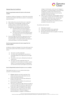

# General Security Conditions

## Security requirements where the Cycle is at the Insured Location.

Accidental or Malicious Damage to or Theft of the Cycle whilst at the Insured Location shall only be covered in circumstances where the Cycle is:

- 1) Kept inside and any security devices are in operation.
- 2) Stored within a private garage, privately accessed wooden, plastic or aluminium shed within the boundaries of the Insured Location and You have complied with the following security requirements:
	- a) All external doors must be secured by a minimum of a 5-lever mortice deadlock to BS3621 standard or a 5-lever padlock, or
	- b) The Cycle must be secured through the frame by an Approved Lock to an Immovable Object within the building.
- 3) Secured through the frame by an Approved Lock to an Immovable Object within the building when at Your Insured Location in any location which is described as a communal hallway or communal outbuilding.

## Security requirements where the Cycle is away from the Insured Location.

Accidental or Malicious Damage to the Cycle whilst away from the Insured Location shall only be covered in circumstances where:

- 1) The Cycle is not left unattended.
- 2) The Cycle is left unattended but secured to an Immovable Object by an Approved Lock through the frame.
- 3) Any access to the Cycle is effected by forcible and violent entry.
- 4) The Cycle is not left unattended within the boundaries of a train station, bus station, coaches station or Your permanent place of employment for more than 24 hours and subject to (2) and (3).

## Security Requirements where the Cycle is in or on a vehicle.

Theft whilst the Cycle is in or on a vehicle shall only be covered in circumstances where:

- 1) All doors' windows and other openings of the vehicle and Cycle rack are left closed, securely locked and properly fastened.
- 2) Access to the Cycle must have been affected by forcible and violent entry.
- 3) Any security devices installed in the vehicle and Cycle rack are in operation.
- 4) The Cycle is stored out of sight wherever possible or is secured through the frame by an Approved Lock to the roof or Cycle rack attached to the vehicle.
- 5) If the Cycle is left in or locked on to the vehicle between the hours of 9pm and 6am the vehicle must be fitted with a Thatcham category 1 alarm/immobiliser or category 2 immobiliser or

category 3 steering lock, and if any such Category 1 and 2 devices is not factory fitted, it must have been installed by a member of the Vehicle Security Installation Board and evidence of such must be provided in the event of a claim.

6) When You are outside the United Kingdom where it is impossible to comply with the Thatcham security requirements, Theft shall only be covered if the vehicle is fitted with a factory fitted alarm or immobiliser and evidence of its existence must be provided in the event of a claim.

Any vehicle used must have:

- a) Valid motor insurance
- b) A valid MOT certificate where applicable.
- c) Current road tax where applicable; and
- d) All windows and locks that are capable of rendering the vehicle secure.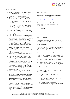

# General Conditions

- 1. You must be over 18 years of age and a permanent legal resident of Britain.
- 2. You must pay in sterling. Our settlements and reimbursements will also be in sterling.
- 3. You shall take all reasonable steps to safeguard against Accident, injury, loss, and Damage and shall maintain the bicycle(s) in an efficient and roadworthy condition. Failure to comply with this condition may invalidate Your claim.
- 4. We will be entitled to take over and deal with, in Your name, the defence or settlement of any claim at Our discretion and to take proceedings at Our expense to recover for Our benefit the amount of any payment made under this policy.
- 5. Other Insurances If any loss, destruction, Damage, or liability insured by this policy, other than by Section 5, is covered by any other insurance We shall pay only its rateable portion.
- 6. We will void this policy in its entirety from the date of loss or alleged loss and no cover provided will apply if a claim made by You, or anyone acting on Your behalf, to obtain any benefit is fraudulent or intentionally exaggerated; or a false declaration or statement is made in support of a claim under this policy.
- 7. Unless another law is agreed in writing, this policy is governed by English law. If there is a dispute, it will only be dealt with in the courts of England or of the country within Great Britain in which Your main residence is situated.
- 8. In the event of a claim payment as a consequence of any insured event, We will deem that full liability has been met under the terms of this policy. In no circumstances shall the liability of the insurers exceed the insured Value or claim limit.
- 9. It is possible that a claim may be made under a policy after its expiry, so it is important that You keep such documents safely.
- 10. We cannot, in all cases, maintain a permanent record of information disclosed to Us and therefore, it is Your responsibility to ensure that all proposal forms and documents are correct. Any relevant changes in circumstances or in the risk must be notified to Us as soon as You become aware of them and cover might, in certain circumstances, be invalid until We have accepted the changes.
- 11. We invite renewals on the understanding that there have been no changes in the risk.
- 12. The onus is upon You to ensure that all information supplied to Us is accurate and We cannot accept any responsibility in the event of such information being inaccurate. You must, upon receipt of a policy document, check that the policy accurately reflects Your instructions and changes required are notified to Us immediately.
- 13. You have the right to cancel this policy within 14 days of the start date of the policy without giving any reasons and You will receive a full refund unless a claim has been made. We may keep an amount that reflects the administrative costs of arranging and cancelling the policy. Certain claim payments might cancel Your policy.

# How to Make a Claim

All Claims are required to be submitted online using the claims form via the Claims Administrators website

## https://www.mbginsurance.co.uk/bike/

If You have any problems completing the claims form, or any queries please do not hesitate to contact the Claims Administrator on: -

Tel: 0191 258 8117

# Automatic Renewal

To make sure You continue to be covered after the expiry date of Your policy, Dynamo Cover will automatically renew Your insurance policy, unless You have opted out when purchasing this policy.

Automatically renewing Your policy means Dynamo Cover will keep Your payment details securely on Our files so that Dynamo Cover can debit Your premium at Your next renewal.

Dynamo Cover will contact You up to 21 days prior to Your renewal date, to confirm the new premium payable and to remind You, that a payment will be debited up to 7 days prior to the policy renewal date. If You do not wish to renew Your policy or require changes to Your policy details, please contact Dynamo Cover at least 14 days before Your renewal date.

If You have not selected the automatically renew option, Dynamo Cover will still contact You 30 days prior to the expiry of Your policy advising You of the renewal price plus how to arrange for Your policy to be renewed.

## When Your Policy Will End

The benefits provided under Your policy will cease on the earliest of the following: -

- a) The expiry date, as shown on Your latest Policy Schedule.
- b) You, or anyone representing You, knowingly provides false information to the Administrator, Claims Administrator or Us.
- c) The Cycle is sold or transferred to a new owner.
- d) The claim limit has been reached.
- e) We declare the Cycle beyond economical repair and a replacement and/or Cash Settlement is made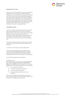

# Reinstatement of cover

In the event of a claim resulting in a total loss and subsequent replacement or cash settlement, We will automatically reinstate cover on Your replacement Cycle upon confirmation from You of the new Cycle to be insured without change to the Policy Schedule renewal date. If the insured Value of Your replacement Cycle is higher than the current insured Value, Your premium may be adjusted, and You will be asked to pay the proportionate additional premium. Following a claim, We reserve the right to decline cover under the terms and conditions of this policy or apply special terms.

# Cancellation Section

You have the right to cancel this policy within 14 days of the date You purchased the policy or when You received the policy documents if this is later. This is known as Your cooling off period. You do not need to provide a reason for cancellation, and We will provide a full refund any premium paid, unless You have made a claim or there has been an incident likely to result in a claim, less a £15.99 cancellation fee.

If You wish to cancel the policy after 14 days, then no refund of premium will be provided and a £15.99 cancellation fee will be due.

To cancel Your cover please contact the administrator

If You have an annual policy but pay Your premium on a monthly basis via the Administrator's facility, You will be required to pay the remainder of Your annual premium in accordance with the terms and conditions of Your agreement

You will need to supply all Your policy details.

#### Cancellation by Us

We may at any time cancel any insurance policy by giving 30 days' notice in writing, where there is a valid reason for doing so. A cancellation letter will be sent to You at Your last known address. Valid reasons may include but are not limited

- to: 1. a) Non-payment of premium.
	- 2. b) Threatening and abusive behaviour.
	- 3. c) Failure to provide documents.
	- 4. d) Non-compliance with policy terms and conditions.

If We cancel Your policy, We will provide a refund of Your premiums less a charge for the cover already provided, unless the reason for cancellation relates to Fraud.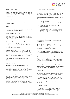

# HOW TO MAKE A COMPLAINT

It is the intention to give you the best possible service but if you do have any questions or concerns about this insurance or the handling of a claim you should follow the Complaints Procedure below: -

## Sale of Policy

Dynamo Cover, Cardiff House, Cardiff Road, Barry, CF63 2AW, Tel: 0330 22 32 987

## Claims

MB&G Insurance Services Limited, Cobalt Business Exchange, Cobalt Park Way, Newcastle, NE28 9NZ.

Email: CVT@mbginsurance.com

In all correspondence, please state that your insurance is provided by Novus Underwriting Limited and quote scheme reference B1927GDR0012022/08

If your complaint about your claim cannot be resolved by the end of the third working day, the claims administrator will

pass it to: Novus Underwriting Ltd, 4<sup>th</sup> Floor, 34 Lime Street, London, EC3M 7AT Email: complaints@novusunderwriting.com

If it is not possible to reach an agreement, you have the right

to make an appeal to the Financial Ombudsman Service. This also applies if you are insured in a business capacity and have an annual turnover of less than €2million and fewer than ten staff. You may contact the Financial Ombudsman Service at: -

The Financial Ombudsman Service, Exchange Tower, London, E14 9SR.

Tel: 0300 123 9 123 Email: complaint.info@financial-ombudsman.org.uk

The above complaints procedure is in addition to your statutory rights as a consumer. For further information about your statutory rights contact your local Citizens Advice Bureau.

If you have purchased the insurance policy online, you may also raise your complaint via the EU Online Dispute Resolution Portal at http://ec.europa.eu/consumers/odr/. This will forward your complaint to the correct Alternative Dispute Resolution scheme. For insurance complaints in the UK this is the Financial Ombudsman Service. However, this may be a slower route for handling your complaint than if you contact the Financial Ombudsman Service directly.

## Fraudulent Claims or Misleading Information

We take a robust approach to fraud prevention in order to keep premium rates down so that you do not have to pay for other people's dishonesty. If any claim made by you or anyone acting on your behalf under this insurance is fraudulent, deliberately exaggerated or intended to mislead, we may:

- a) Not pay your claim, and
- b) Recover (from you) any payments we have already made in respect of that claim, and
- c) Terminate your insurance from the time of the fraudulent act, and
- d) Inform the police of the fraudulent act. If your insurance is terminated from the time of the fraudulent act, we will not pay any claim for any incident which happens after that time and may not return any of the insurance premium(s) already paid.

## Law and Jurisdiction

This policy shall be governed by the laws of England and Wales and subject to the non-exclusive jurisdiction of the courts of England.

Information You have provided – Insurance Act 2015 You must take reasonable care to provide accurate and complete answers to all the questions you are asked when you take out or make changes to this policy.

You must notify the administrator as soon as possible if any of the information in your policy documents is incorrect or if you wish to make a change to your policy.

If you do not provide accurate and complete answers to the questions you are asked, or you fail to notify the administrator of any incorrect information or changes you wish to make, your policy may not operate in the event of a claim. We may not pay any claim in full or your policy could be invalid.

No term of this insurance contract is intended to limit or affect the statutory rights and obligations of the parties to this contract under the effect of the Insurance Act 2015.

## Under Insurance

A proportional reduction in any claim settlement will be made should You under-insure. For example, if due to a breach of fair presentation You are incorrectly charged a premium of £100.00 but, due to the value of Your insured item, You should have been charged a higher amount, in the event of a claim being submitted and agreed any settlement made to You will be reduced by the proportion You were underinsured for.

## Compensation Scheme

Helvetia Schweizerische Versicherungsgesellschaft in Liechtenstein AG is covered by the Financial Services Compensation Scheme (FSCS). You may be entitled to